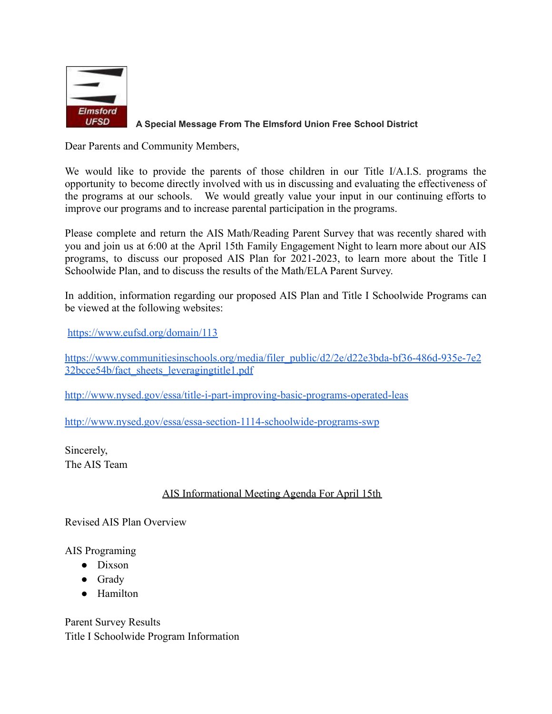

## **A Special Message From The Elmsford Union Free School District**

Dear Parents and Community Members,

We would like to provide the parents of those children in our Title I/A.I.S. programs the opportunity to become directly involved with us in discussing and evaluating the effectiveness of the programs at our schools. We would greatly value your input in our continuing efforts to improve our programs and to increase parental participation in the programs.

Please complete and return the AIS Math/Reading Parent Survey that was recently shared with you and join us at 6:00 at the April 15th Family Engagement Night to learn more about our AIS programs, to discuss our proposed AIS Plan for 2021-2023, to learn more about the Title I Schoolwide Plan, and to discuss the results of the Math/ELA Parent Survey.

In addition, information regarding our proposed AIS Plan and Title I Schoolwide Programs can be viewed at the following websites:

<https://www.eufsd.org/domain/113>

[https://www.communitiesinschools.org/media/filer\\_public/d2/2e/d22e3bda-bf36-486d-935e-7e2](https://www.communitiesinschools.org/media/filer_public/d2/2e/d22e3bda-bf36-486d-935e-7e232bcce54b/fact_sheets_leveragingtitle1.pdf) [32bcce54b/fact\\_sheets\\_leveragingtitle1.pdf](https://www.communitiesinschools.org/media/filer_public/d2/2e/d22e3bda-bf36-486d-935e-7e232bcce54b/fact_sheets_leveragingtitle1.pdf)

<http://www.nysed.gov/essa/title-i-part-improving-basic-programs-operated-leas>

<http://www.nysed.gov/essa/essa-section-1114-schoolwide-programs-swp>

Sincerely, The AIS Team

## AIS Informational Meeting Agenda For April 15th

Revised AIS Plan Overview

AIS Programing

- Dixson
- Grady
- Hamilton

Parent Survey Results Title I Schoolwide Program Information